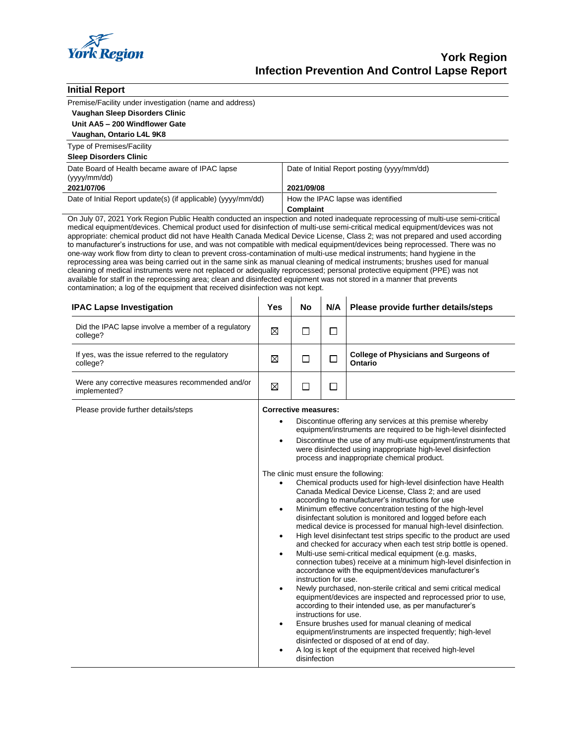

| <b>Initial Report</b>                                                                                                                                                                                                                                                                                                                                                                                                                                                                                                                                                                                                                                                                                                                                                                                                                                                                                                                                                                                                                                                                                                                    |                                                                                 |                                                                                                                                                                                                                                                                                                                                                                                                                                                                                                                                                                                                                                                                                                                                                                                                                                                                                                                                                                                                                                                                                                                                                                                                                                                                                                                                                                                                                                                                                                                                                                                                |                                                |                                                                |  |  |
|------------------------------------------------------------------------------------------------------------------------------------------------------------------------------------------------------------------------------------------------------------------------------------------------------------------------------------------------------------------------------------------------------------------------------------------------------------------------------------------------------------------------------------------------------------------------------------------------------------------------------------------------------------------------------------------------------------------------------------------------------------------------------------------------------------------------------------------------------------------------------------------------------------------------------------------------------------------------------------------------------------------------------------------------------------------------------------------------------------------------------------------|---------------------------------------------------------------------------------|------------------------------------------------------------------------------------------------------------------------------------------------------------------------------------------------------------------------------------------------------------------------------------------------------------------------------------------------------------------------------------------------------------------------------------------------------------------------------------------------------------------------------------------------------------------------------------------------------------------------------------------------------------------------------------------------------------------------------------------------------------------------------------------------------------------------------------------------------------------------------------------------------------------------------------------------------------------------------------------------------------------------------------------------------------------------------------------------------------------------------------------------------------------------------------------------------------------------------------------------------------------------------------------------------------------------------------------------------------------------------------------------------------------------------------------------------------------------------------------------------------------------------------------------------------------------------------------------|------------------------------------------------|----------------------------------------------------------------|--|--|
| Premise/Facility under investigation (name and address)                                                                                                                                                                                                                                                                                                                                                                                                                                                                                                                                                                                                                                                                                                                                                                                                                                                                                                                                                                                                                                                                                  |                                                                                 |                                                                                                                                                                                                                                                                                                                                                                                                                                                                                                                                                                                                                                                                                                                                                                                                                                                                                                                                                                                                                                                                                                                                                                                                                                                                                                                                                                                                                                                                                                                                                                                                |                                                |                                                                |  |  |
| Vaughan Sleep Disorders Clinic                                                                                                                                                                                                                                                                                                                                                                                                                                                                                                                                                                                                                                                                                                                                                                                                                                                                                                                                                                                                                                                                                                           |                                                                                 |                                                                                                                                                                                                                                                                                                                                                                                                                                                                                                                                                                                                                                                                                                                                                                                                                                                                                                                                                                                                                                                                                                                                                                                                                                                                                                                                                                                                                                                                                                                                                                                                |                                                |                                                                |  |  |
| Unit AA5 - 200 Windflower Gate                                                                                                                                                                                                                                                                                                                                                                                                                                                                                                                                                                                                                                                                                                                                                                                                                                                                                                                                                                                                                                                                                                           |                                                                                 |                                                                                                                                                                                                                                                                                                                                                                                                                                                                                                                                                                                                                                                                                                                                                                                                                                                                                                                                                                                                                                                                                                                                                                                                                                                                                                                                                                                                                                                                                                                                                                                                |                                                |                                                                |  |  |
| Vaughan, Ontario L4L 9K8                                                                                                                                                                                                                                                                                                                                                                                                                                                                                                                                                                                                                                                                                                                                                                                                                                                                                                                                                                                                                                                                                                                 |                                                                                 |                                                                                                                                                                                                                                                                                                                                                                                                                                                                                                                                                                                                                                                                                                                                                                                                                                                                                                                                                                                                                                                                                                                                                                                                                                                                                                                                                                                                                                                                                                                                                                                                |                                                |                                                                |  |  |
| <b>Type of Premises/Facility</b>                                                                                                                                                                                                                                                                                                                                                                                                                                                                                                                                                                                                                                                                                                                                                                                                                                                                                                                                                                                                                                                                                                         |                                                                                 |                                                                                                                                                                                                                                                                                                                                                                                                                                                                                                                                                                                                                                                                                                                                                                                                                                                                                                                                                                                                                                                                                                                                                                                                                                                                                                                                                                                                                                                                                                                                                                                                |                                                |                                                                |  |  |
| <b>Sleep Disorders Clinic</b>                                                                                                                                                                                                                                                                                                                                                                                                                                                                                                                                                                                                                                                                                                                                                                                                                                                                                                                                                                                                                                                                                                            |                                                                                 |                                                                                                                                                                                                                                                                                                                                                                                                                                                                                                                                                                                                                                                                                                                                                                                                                                                                                                                                                                                                                                                                                                                                                                                                                                                                                                                                                                                                                                                                                                                                                                                                |                                                |                                                                |  |  |
| Date Board of Health became aware of IPAC lapse<br>(yyyy/mm/dd)                                                                                                                                                                                                                                                                                                                                                                                                                                                                                                                                                                                                                                                                                                                                                                                                                                                                                                                                                                                                                                                                          |                                                                                 | Date of Initial Report posting (yyyy/mm/dd)                                                                                                                                                                                                                                                                                                                                                                                                                                                                                                                                                                                                                                                                                                                                                                                                                                                                                                                                                                                                                                                                                                                                                                                                                                                                                                                                                                                                                                                                                                                                                    |                                                |                                                                |  |  |
| 2021/07/06                                                                                                                                                                                                                                                                                                                                                                                                                                                                                                                                                                                                                                                                                                                                                                                                                                                                                                                                                                                                                                                                                                                               |                                                                                 |                                                                                                                                                                                                                                                                                                                                                                                                                                                                                                                                                                                                                                                                                                                                                                                                                                                                                                                                                                                                                                                                                                                                                                                                                                                                                                                                                                                                                                                                                                                                                                                                | 2021/09/08                                     |                                                                |  |  |
| Date of Initial Report update(s) (if applicable) (yyyy/mm/dd)                                                                                                                                                                                                                                                                                                                                                                                                                                                                                                                                                                                                                                                                                                                                                                                                                                                                                                                                                                                                                                                                            |                                                                                 |                                                                                                                                                                                                                                                                                                                                                                                                                                                                                                                                                                                                                                                                                                                                                                                                                                                                                                                                                                                                                                                                                                                                                                                                                                                                                                                                                                                                                                                                                                                                                                                                | How the IPAC lapse was identified<br>Complaint |                                                                |  |  |
| On July 07, 2021 York Region Public Health conducted an inspection and noted inadequate reprocessing of multi-use semi-critical<br>medical equipment/devices. Chemical product used for disinfection of multi-use semi-critical medical equipment/devices was not<br>appropriate: chemical product did not have Health Canada Medical Device License, Class 2; was not prepared and used according<br>to manufacturer's instructions for use, and was not compatible with medical equipment/devices being reprocessed. There was no<br>one-way work flow from dirty to clean to prevent cross-contamination of multi-use medical instruments; hand hygiene in the<br>reprocessing area was being carried out in the same sink as manual cleaning of medical instruments; brushes used for manual<br>cleaning of medical instruments were not replaced or adequality reprocessed; personal protective equipment (PPE) was not<br>available for staff in the reprocessing area; clean and disinfected equipment was not stored in a manner that prevents<br>contamination; a log of the equipment that received disinfection was not kept. |                                                                                 |                                                                                                                                                                                                                                                                                                                                                                                                                                                                                                                                                                                                                                                                                                                                                                                                                                                                                                                                                                                                                                                                                                                                                                                                                                                                                                                                                                                                                                                                                                                                                                                                |                                                |                                                                |  |  |
| <b>IPAC Lapse Investigation</b>                                                                                                                                                                                                                                                                                                                                                                                                                                                                                                                                                                                                                                                                                                                                                                                                                                                                                                                                                                                                                                                                                                          | Yes                                                                             | No                                                                                                                                                                                                                                                                                                                                                                                                                                                                                                                                                                                                                                                                                                                                                                                                                                                                                                                                                                                                                                                                                                                                                                                                                                                                                                                                                                                                                                                                                                                                                                                             | N/A                                            | Please provide further details/steps                           |  |  |
| Did the IPAC lapse involve a member of a regulatory<br>college?                                                                                                                                                                                                                                                                                                                                                                                                                                                                                                                                                                                                                                                                                                                                                                                                                                                                                                                                                                                                                                                                          | ⊠                                                                               | $\Box$                                                                                                                                                                                                                                                                                                                                                                                                                                                                                                                                                                                                                                                                                                                                                                                                                                                                                                                                                                                                                                                                                                                                                                                                                                                                                                                                                                                                                                                                                                                                                                                         | □                                              |                                                                |  |  |
| If yes, was the issue referred to the regulatory<br>college?                                                                                                                                                                                                                                                                                                                                                                                                                                                                                                                                                                                                                                                                                                                                                                                                                                                                                                                                                                                                                                                                             | ⊠                                                                               | □                                                                                                                                                                                                                                                                                                                                                                                                                                                                                                                                                                                                                                                                                                                                                                                                                                                                                                                                                                                                                                                                                                                                                                                                                                                                                                                                                                                                                                                                                                                                                                                              | □                                              | <b>College of Physicians and Surgeons of</b><br><b>Ontario</b> |  |  |
| Were any corrective measures recommended and/or<br>implemented?                                                                                                                                                                                                                                                                                                                                                                                                                                                                                                                                                                                                                                                                                                                                                                                                                                                                                                                                                                                                                                                                          | ⊠                                                                               | $\Box$                                                                                                                                                                                                                                                                                                                                                                                                                                                                                                                                                                                                                                                                                                                                                                                                                                                                                                                                                                                                                                                                                                                                                                                                                                                                                                                                                                                                                                                                                                                                                                                         | П                                              |                                                                |  |  |
| Please provide further details/steps                                                                                                                                                                                                                                                                                                                                                                                                                                                                                                                                                                                                                                                                                                                                                                                                                                                                                                                                                                                                                                                                                                     | $\bullet$<br>$\bullet$<br>$\bullet$<br>$\bullet$<br>٠<br>$\bullet$<br>$\bullet$ | <b>Corrective measures:</b><br>Discontinue offering any services at this premise whereby<br>equipment/instruments are required to be high-level disinfected<br>Discontinue the use of any multi-use equipment/instruments that<br>were disinfected using inappropriate high-level disinfection<br>process and inappropriate chemical product.<br>The clinic must ensure the following:<br>Chemical products used for high-level disinfection have Health<br>Canada Medical Device License, Class 2; and are used<br>according to manufacturer's instructions for use<br>Minimum effective concentration testing of the high-level<br>disinfectant solution is monitored and logged before each<br>medical device is processed for manual high-level disinfection.<br>High level disinfectant test strips specific to the product are used<br>and checked for accuracy when each test strip bottle is opened.<br>Multi-use semi-critical medical equipment (e.g. masks,<br>connection tubes) receive at a minimum high-level disinfection in<br>accordance with the equipment/devices manufacturer's<br>instruction for use.<br>Newly purchased, non-sterile critical and semi critical medical<br>equipment/devices are inspected and reprocessed prior to use,<br>according to their intended use, as per manufacturer's<br>instructions for use.<br>Ensure brushes used for manual cleaning of medical<br>equipment/instruments are inspected frequently; high-level<br>disinfected or disposed of at end of day.<br>A log is kept of the equipment that received high-level<br>disinfection |                                                |                                                                |  |  |